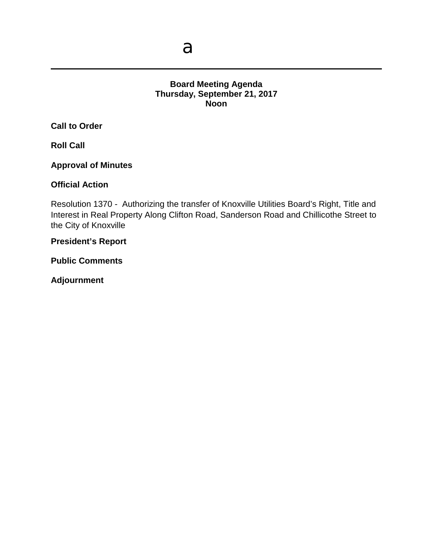## **Board Meeting Agenda Thursday, September 21, 2017 Noon**

**Call to Order**

**Roll Call**

**Approval of Minutes**

#### **Official Action**

Resolution 1370 - Authorizing the transfer of Knoxville Utilities Board's Right, Title and Interest in Real Property Along Clifton Road, Sanderson Road and Chillicothe Street to the City of Knoxville

**President's Report**

**Public Comments**

**Adjournment**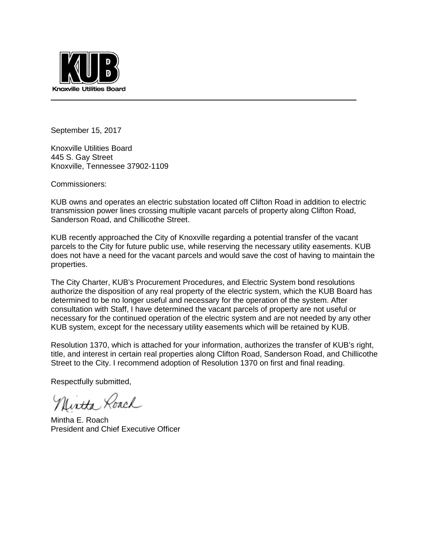

September 15, 2017

Knoxville Utilities Board 445 S. Gay Street Knoxville, Tennessee 37902-1109

Commissioners:

KUB owns and operates an electric substation located off Clifton Road in addition to electric transmission power lines crossing multiple vacant parcels of property along Clifton Road, Sanderson Road, and Chillicothe Street.

KUB recently approached the City of Knoxville regarding a potential transfer of the vacant parcels to the City for future public use, while reserving the necessary utility easements. KUB does not have a need for the vacant parcels and would save the cost of having to maintain the properties.

The City Charter, KUB's Procurement Procedures, and Electric System bond resolutions authorize the disposition of any real property of the electric system, which the KUB Board has determined to be no longer useful and necessary for the operation of the system. After consultation with Staff, I have determined the vacant parcels of property are not useful or necessary for the continued operation of the electric system and are not needed by any other KUB system, except for the necessary utility easements which will be retained by KUB.

Resolution 1370, which is attached for your information, authorizes the transfer of KUB's right, title, and interest in certain real properties along Clifton Road, Sanderson Road, and Chillicothe Street to the City. I recommend adoption of Resolution 1370 on first and final reading.

Respectfully submitted,

Nintha Roach

Mintha E. Roach President and Chief Executive Officer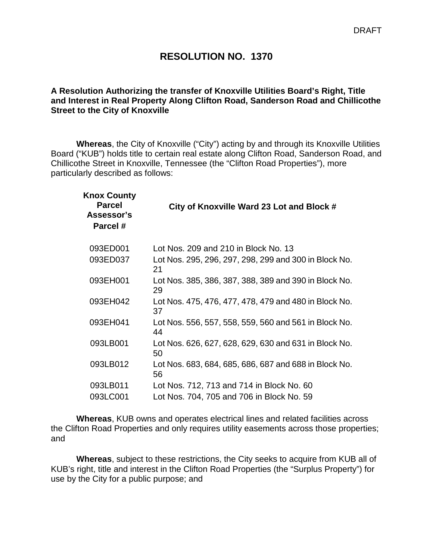## **RESOLUTION NO. 1370**

#### **A Resolution Authorizing the transfer of Knoxville Utilities Board's Right, Title and Interest in Real Property Along Clifton Road, Sanderson Road and Chillicothe Street to the City of Knoxville**

**Whereas**, the City of Knoxville ("City") acting by and through its Knoxville Utilities Board ("KUB") holds title to certain real estate along Clifton Road, Sanderson Road, and Chillicothe Street in Knoxville, Tennessee (the "Clifton Road Properties"), more particularly described as follows:

| <b>Knox County</b><br><b>Parcel</b><br>Assessor's<br>Parcel # | City of Knoxville Ward 23 Lot and Block #                   |
|---------------------------------------------------------------|-------------------------------------------------------------|
| 093ED001                                                      | Lot Nos. 209 and 210 in Block No. 13                        |
| 093ED037                                                      | Lot Nos. 295, 296, 297, 298, 299 and 300 in Block No.<br>21 |
| 093EH001                                                      | Lot Nos. 385, 386, 387, 388, 389 and 390 in Block No.<br>29 |
| 093EH042                                                      | Lot Nos. 475, 476, 477, 478, 479 and 480 in Block No.<br>37 |
| 093EH041                                                      | Lot Nos. 556, 557, 558, 559, 560 and 561 in Block No.<br>44 |
| 093LB001                                                      | Lot Nos. 626, 627, 628, 629, 630 and 631 in Block No.<br>50 |
| 093LB012                                                      | Lot Nos. 683, 684, 685, 686, 687 and 688 in Block No.<br>56 |
| 093LB011                                                      | Lot Nos. 712, 713 and 714 in Block No. 60                   |
| 093LC001                                                      | Lot Nos. 704, 705 and 706 in Block No. 59                   |

**Whereas**, KUB owns and operates electrical lines and related facilities across the Clifton Road Properties and only requires utility easements across those properties; and

**Whereas**, subject to these restrictions, the City seeks to acquire from KUB all of KUB's right, title and interest in the Clifton Road Properties (the "Surplus Property") for use by the City for a public purpose; and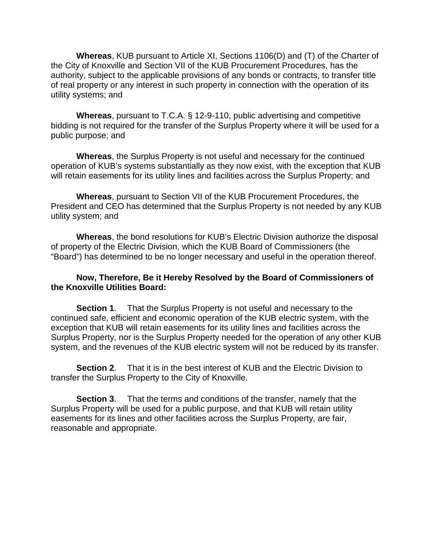**Whereas**, KUB pursuant to Article XI, Sections 1106(D) and (T) of the Charter of the City of Knoxville and Section VII of the KUB Procurement Procedures, has the authority, subject to the applicable provisions of any bonds or contracts, to transfer title of real property or any interest in such property in connection with the operation of its utility systems; and

**Whereas**, pursuant to T.C.A. § 12-9-110, public advertising and competitive bidding is not required for the transfer of the Surplus Property where it will be used for a public purpose; and

**Whereas**, the Surplus Property is not useful and necessary for the continued operation of KUB's systems substantially as they now exist, with the exception that KUB will retain easements for its utility lines and facilities across the Surplus Property; and

**Whereas**, pursuant to Section VII of the KUB Procurement Procedures, the President and CEO has determined that the Surplus Property is not needed by any KUB utility system; and

**Whereas**, the bond resolutions for KUB's Electric Division authorize the disposal of property of the Electric Division, which the KUB Board of Commissioners (the "Board") has determined to be no longer necessary and useful in the operation thereof.

#### **Now, Therefore, Be it Hereby Resolved by the Board of Commissioners of the Knoxville Utilities Board:**

**Section 1**. That the Surplus Property is not useful and necessary to the continued safe, efficient and economic operation of the KUB electric system, with the exception that KUB will retain easements for its utility lines and facilities across the Surplus Property, nor is the Surplus Property needed for the operation of any other KUB system, and the revenues of the KUB electric system will not be reduced by its transfer.

**Section 2**. That it is in the best interest of KUB and the Electric Division to transfer the Surplus Property to the City of Knoxville.

**Section 3**. That the terms and conditions of the transfer, namely that the Surplus Property will be used for a public purpose, and that KUB will retain utility easements for its lines and other facilities across the Surplus Property, are fair, reasonable and appropriate.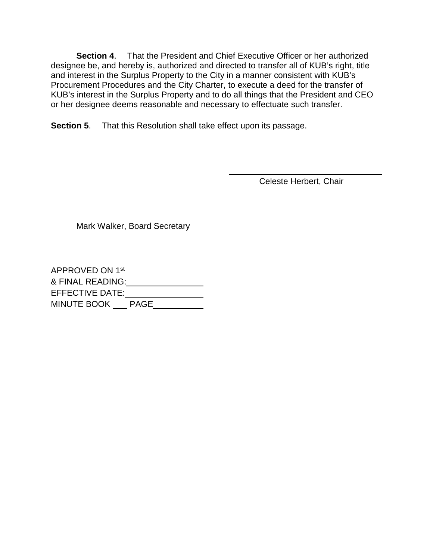**Section 4**. That the President and Chief Executive Officer or her authorized designee be, and hereby is, authorized and directed to transfer all of KUB's right, title and interest in the Surplus Property to the City in a manner consistent with KUB's Procurement Procedures and the City Charter, to execute a deed for the transfer of KUB's interest in the Surplus Property and to do all things that the President and CEO or her designee deems reasonable and necessary to effectuate such transfer.

**Section 5**. That this Resolution shall take effect upon its passage.

Celeste Herbert, Chair

Mark Walker, Board Secretary

 $\overline{a}$ 

APPROVED ON 1st & FINAL READING: EFFECTIVE DATE:\_\_\_\_\_\_\_\_\_\_\_\_\_\_\_\_\_ MINUTE BOOK <u>PAGE</u>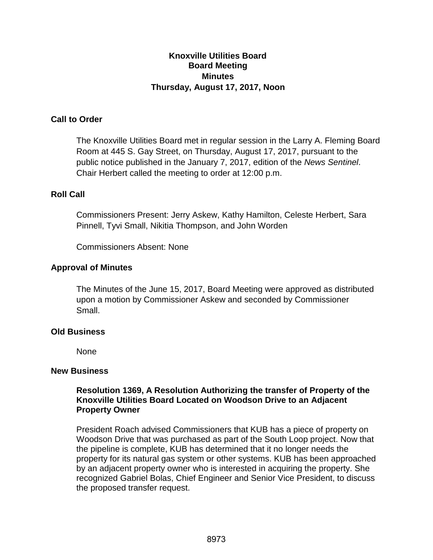## **Knoxville Utilities Board Board Meeting Minutes Thursday, August 17, 2017, Noon**

## **Call to Order**

The Knoxville Utilities Board met in regular session in the Larry A. Fleming Board Room at 445 S. Gay Street, on Thursday, August 17, 2017, pursuant to the public notice published in the January 7, 2017, edition of the *News Sentinel*. Chair Herbert called the meeting to order at 12:00 p.m.

#### **Roll Call**

Commissioners Present: Jerry Askew, Kathy Hamilton, Celeste Herbert, Sara Pinnell, Tyvi Small, Nikitia Thompson, and John Worden

Commissioners Absent: None

#### **Approval of Minutes**

The Minutes of the June 15, 2017, Board Meeting were approved as distributed upon a motion by Commissioner Askew and seconded by Commissioner Small.

#### **Old Business**

None

#### **New Business**

#### **Resolution 1369, A Resolution Authorizing the transfer of Property of the Knoxville Utilities Board Located on Woodson Drive to an Adjacent Property Owner**

President Roach advised Commissioners that KUB has a piece of property on Woodson Drive that was purchased as part of the South Loop project. Now that the pipeline is complete, KUB has determined that it no longer needs the property for its natural gas system or other systems. KUB has been approached by an adjacent property owner who is interested in acquiring the property. She recognized Gabriel Bolas, Chief Engineer and Senior Vice President, to discuss the proposed transfer request.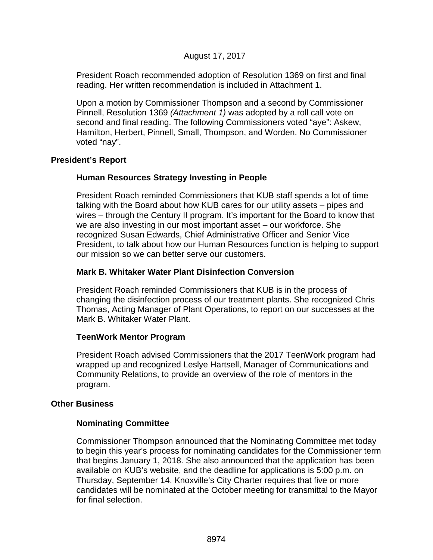## August 17, 2017

President Roach recommended adoption of Resolution 1369 on first and final reading. Her written recommendation is included in Attachment 1.

Upon a motion by Commissioner Thompson and a second by Commissioner Pinnell, Resolution 1369 *(Attachment 1)* was adopted by a roll call vote on second and final reading. The following Commissioners voted "aye": Askew, Hamilton, Herbert, Pinnell, Small, Thompson, and Worden. No Commissioner voted "nay".

#### **President's Report**

#### **Human Resources Strategy Investing in People**

President Roach reminded Commissioners that KUB staff spends a lot of time talking with the Board about how KUB cares for our utility assets – pipes and wires – through the Century II program. It's important for the Board to know that we are also investing in our most important asset – our workforce. She recognized Susan Edwards, Chief Administrative Officer and Senior Vice President, to talk about how our Human Resources function is helping to support our mission so we can better serve our customers.

#### **Mark B. Whitaker Water Plant Disinfection Conversion**

President Roach reminded Commissioners that KUB is in the process of changing the disinfection process of our treatment plants. She recognized Chris Thomas, Acting Manager of Plant Operations, to report on our successes at the Mark B. Whitaker Water Plant.

#### **TeenWork Mentor Program**

President Roach advised Commissioners that the 2017 TeenWork program had wrapped up and recognized Leslye Hartsell, Manager of Communications and Community Relations, to provide an overview of the role of mentors in the program.

#### **Other Business**

#### **Nominating Committee**

Commissioner Thompson announced that the Nominating Committee met today to begin this year's process for nominating candidates for the Commissioner term that begins January 1, 2018. She also announced that the application has been available on KUB's website, and the deadline for applications is 5:00 p.m. on Thursday, September 14. Knoxville's City Charter requires that five or more candidates will be nominated at the October meeting for transmittal to the Mayor for final selection.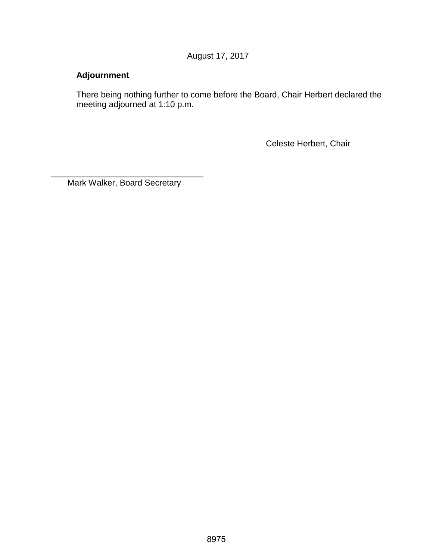August 17, 2017

# **Adjournment**

 $\overline{a}$ 

There being nothing further to come before the Board, Chair Herbert declared the meeting adjourned at 1:10 p.m.

Celeste Herbert, Chair

Mark Walker, Board Secretary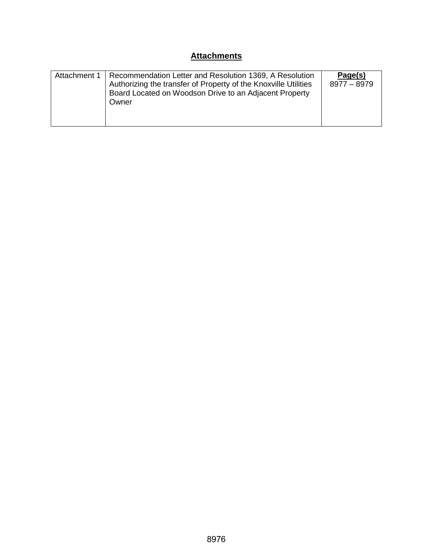# **Attachments**

| Attachment 1 | Recommendation Letter and Resolution 1369, A Resolution<br>Authorizing the transfer of Property of the Knoxville Utilities<br>Board Located on Woodson Drive to an Adjacent Property<br>Owner | Page(s)<br>8977 - 8979 |
|--------------|-----------------------------------------------------------------------------------------------------------------------------------------------------------------------------------------------|------------------------|
|--------------|-----------------------------------------------------------------------------------------------------------------------------------------------------------------------------------------------|------------------------|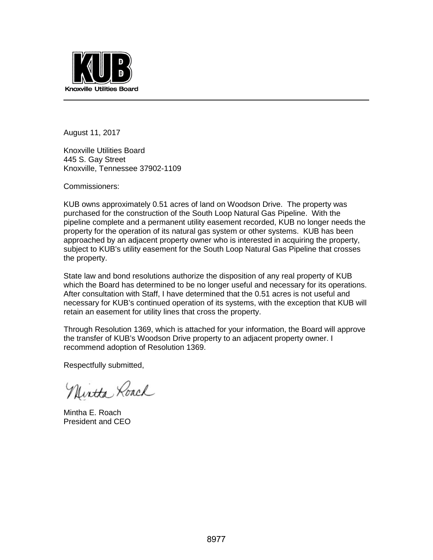

August 11, 2017

Knoxville Utilities Board 445 S. Gay Street Knoxville, Tennessee 37902-1109

Commissioners:

KUB owns approximately 0.51 acres of land on Woodson Drive. The property was purchased for the construction of the South Loop Natural Gas Pipeline. With the pipeline complete and a permanent utility easement recorded, KUB no longer needs the property for the operation of its natural gas system or other systems. KUB has been approached by an adjacent property owner who is interested in acquiring the property, subject to KUB's utility easement for the South Loop Natural Gas Pipeline that crosses the property.

State law and bond resolutions authorize the disposition of any real property of KUB which the Board has determined to be no longer useful and necessary for its operations. After consultation with Staff, I have determined that the 0.51 acres is not useful and necessary for KUB's continued operation of its systems, with the exception that KUB will retain an easement for utility lines that cross the property.

Through Resolution 1369, which is attached for your information, the Board will approve the transfer of KUB's Woodson Drive property to an adjacent property owner. I recommend adoption of Resolution 1369.

Respectfully submitted,

Nintha Roach

Mintha E. Roach President and CEO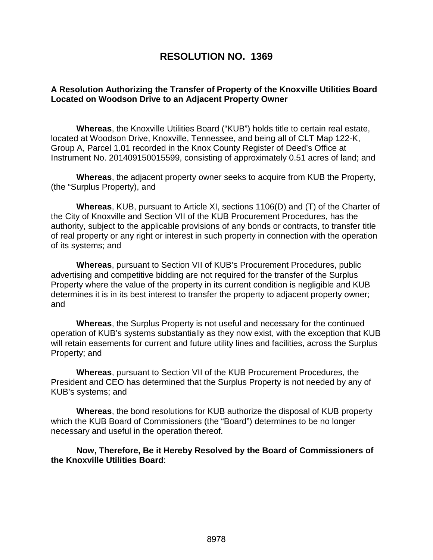# **RESOLUTION NO. 1369**

#### **A Resolution Authorizing the Transfer of Property of the Knoxville Utilities Board Located on Woodson Drive to an Adjacent Property Owner**

**Whereas**, the Knoxville Utilities Board ("KUB") holds title to certain real estate, located at Woodson Drive, Knoxville, Tennessee, and being all of CLT Map 122-K, Group A, Parcel 1.01 recorded in the Knox County Register of Deed's Office at Instrument No. 201409150015599, consisting of approximately 0.51 acres of land; and

**Whereas**, the adjacent property owner seeks to acquire from KUB the Property, (the "Surplus Property), and

**Whereas**, KUB, pursuant to Article XI, sections 1106(D) and (T) of the Charter of the City of Knoxville and Section VII of the KUB Procurement Procedures, has the authority, subject to the applicable provisions of any bonds or contracts, to transfer title of real property or any right or interest in such property in connection with the operation of its systems; and

**Whereas**, pursuant to Section VII of KUB's Procurement Procedures, public advertising and competitive bidding are not required for the transfer of the Surplus Property where the value of the property in its current condition is negligible and KUB determines it is in its best interest to transfer the property to adjacent property owner; and

**Whereas**, the Surplus Property is not useful and necessary for the continued operation of KUB's systems substantially as they now exist, with the exception that KUB will retain easements for current and future utility lines and facilities, across the Surplus Property; and

**Whereas**, pursuant to Section VII of the KUB Procurement Procedures, the President and CEO has determined that the Surplus Property is not needed by any of KUB's systems; and

**Whereas**, the bond resolutions for KUB authorize the disposal of KUB property which the KUB Board of Commissioners (the "Board") determines to be no longer necessary and useful in the operation thereof.

**Now, Therefore, Be it Hereby Resolved by the Board of Commissioners of the Knoxville Utilities Board**: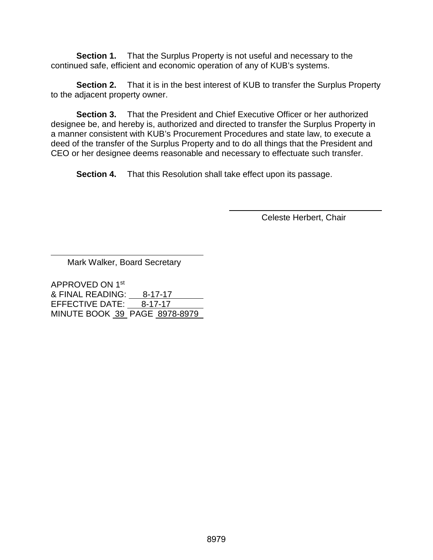**Section 1.** That the Surplus Property is not useful and necessary to the continued safe, efficient and economic operation of any of KUB's systems.

**Section 2.** That it is in the best interest of KUB to transfer the Surplus Property to the adjacent property owner.

**Section 3.** That the President and Chief Executive Officer or her authorized designee be, and hereby is, authorized and directed to transfer the Surplus Property in a manner consistent with KUB's Procurement Procedures and state law, to execute a deed of the transfer of the Surplus Property and to do all things that the President and CEO or her designee deems reasonable and necessary to effectuate such transfer.

**Section 4.** That this Resolution shall take effect upon its passage.

Celeste Herbert, Chair

Mark Walker, Board Secretary

 $\overline{a}$ 

APPROVED ON 1st & FINAL READING: 8-17-17 EFFECTIVE DATE: 8-17-17 MINUTE BOOK 39 PAGE 8978-8979